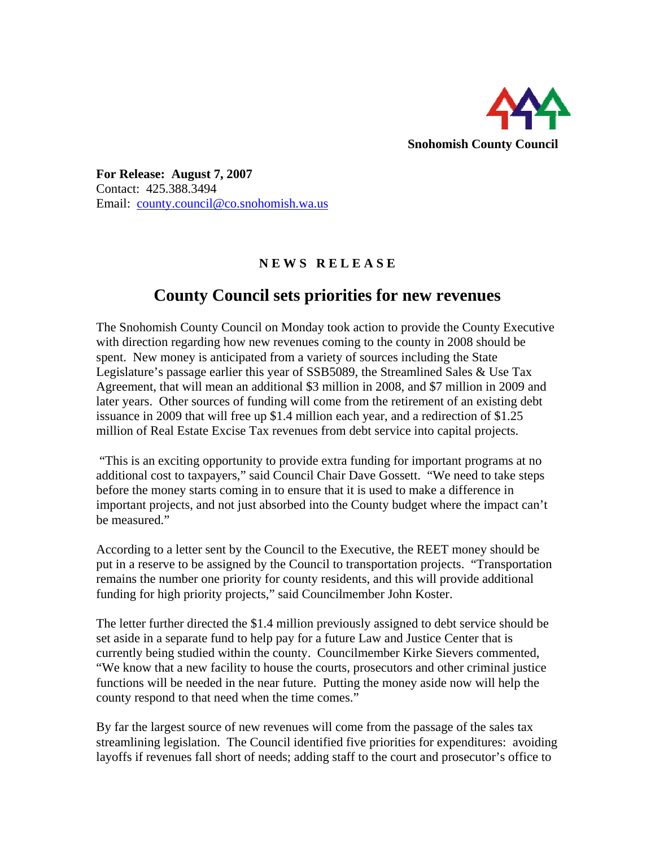

**For Release: August 7, 2007**  Contact: 425.388.3494 Email: [county.council@co.snohomish.wa.us](mailto:county.council@co.snohomish.wa.us)

## **N E W S R E L E A S E**

## **County Council sets priorities for new revenues**

The Snohomish County Council on Monday took action to provide the County Executive with direction regarding how new revenues coming to the county in 2008 should be spent. New money is anticipated from a variety of sources including the State Legislature's passage earlier this year of SSB5089, the Streamlined Sales & Use Tax Agreement, that will mean an additional \$3 million in 2008, and \$7 million in 2009 and later years. Other sources of funding will come from the retirement of an existing debt issuance in 2009 that will free up \$1.4 million each year, and a redirection of \$1.25 million of Real Estate Excise Tax revenues from debt service into capital projects.

 "This is an exciting opportunity to provide extra funding for important programs at no additional cost to taxpayers," said Council Chair Dave Gossett. "We need to take steps before the money starts coming in to ensure that it is used to make a difference in important projects, and not just absorbed into the County budget where the impact can't be measured."

According to a letter sent by the Council to the Executive, the REET money should be put in a reserve to be assigned by the Council to transportation projects. "Transportation remains the number one priority for county residents, and this will provide additional funding for high priority projects," said Councilmember John Koster.

The letter further directed the \$1.4 million previously assigned to debt service should be set aside in a separate fund to help pay for a future Law and Justice Center that is currently being studied within the county. Councilmember Kirke Sievers commented, "We know that a new facility to house the courts, prosecutors and other criminal justice functions will be needed in the near future. Putting the money aside now will help the county respond to that need when the time comes."

By far the largest source of new revenues will come from the passage of the sales tax streamlining legislation. The Council identified five priorities for expenditures: avoiding layoffs if revenues fall short of needs; adding staff to the court and prosecutor's office to